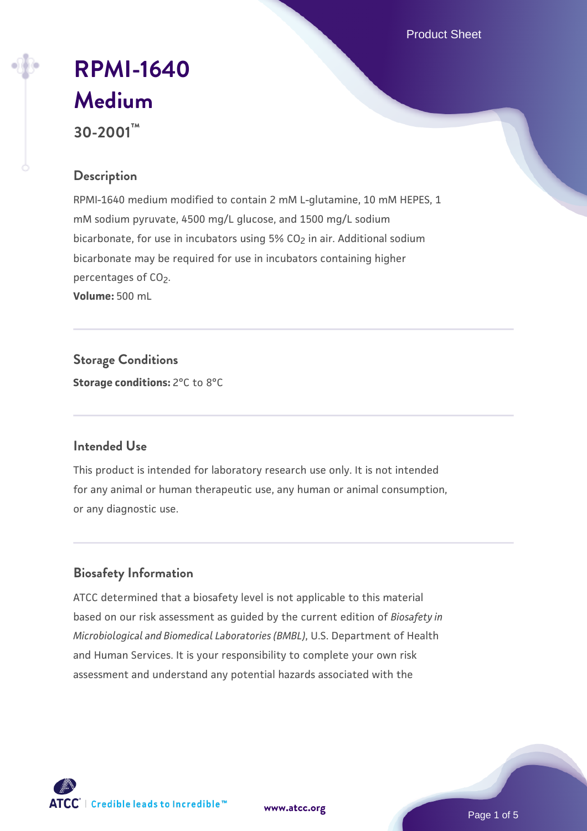Product Sheet

# **[RPMI-1640](https://www.atcc.org/products/30-2001) [Medium](https://www.atcc.org/products/30-2001)**

**30-2001™**

# **Description**

RPMI-1640 medium modified to contain 2 mM L-glutamine, 10 mM HEPES, 1 mM sodium pyruvate, 4500 mg/L glucose, and 1500 mg/L sodium bicarbonate, for use in incubators using 5% CO<sub>2</sub> in air. Additional sodium bicarbonate may be required for use in incubators containing higher percentages of CO<sub>2</sub>. **Volume:** 500 mL

**Storage Conditions Storage conditions:** 2°C to 8°C

# **Intended Use**

This product is intended for laboratory research use only. It is not intended for any animal or human therapeutic use, any human or animal consumption, or any diagnostic use.

# **Biosafety Information**

ATCC determined that a biosafety level is not applicable to this material based on our risk assessment as guided by the current edition of *Biosafety in Microbiological and Biomedical Laboratories (BMBL)*, U.S. Department of Health and Human Services. It is your responsibility to complete your own risk assessment and understand any potential hazards associated with the



**[www.atcc.org](http://www.atcc.org)**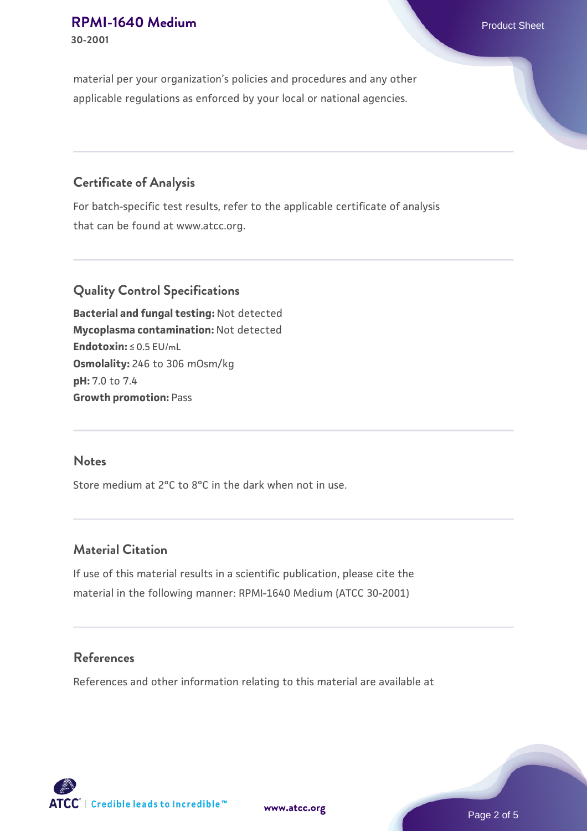material per your organization's policies and procedures and any other applicable regulations as enforced by your local or national agencies.

# **Certificate of Analysis**

For batch-specific test results, refer to the applicable certificate of analysis that can be found at www.atcc.org.

# **Quality Control Specifications**

**Bacterial and fungal testing:** Not detected **Mycoplasma contamination:** Not detected **Endotoxin:** ≤ 0.5 EU/mL **Osmolality:** 246 to 306 mOsm/kg **pH:** 7.0 to 7.4 **Growth promotion:** Pass

#### **Notes**

Store medium at 2°C to 8°C in the dark when not in use.

#### **Material Citation**

If use of this material results in a scientific publication, please cite the material in the following manner: RPMI-1640 Medium (ATCC 30-2001)

#### **References**

References and other information relating to this material are available at

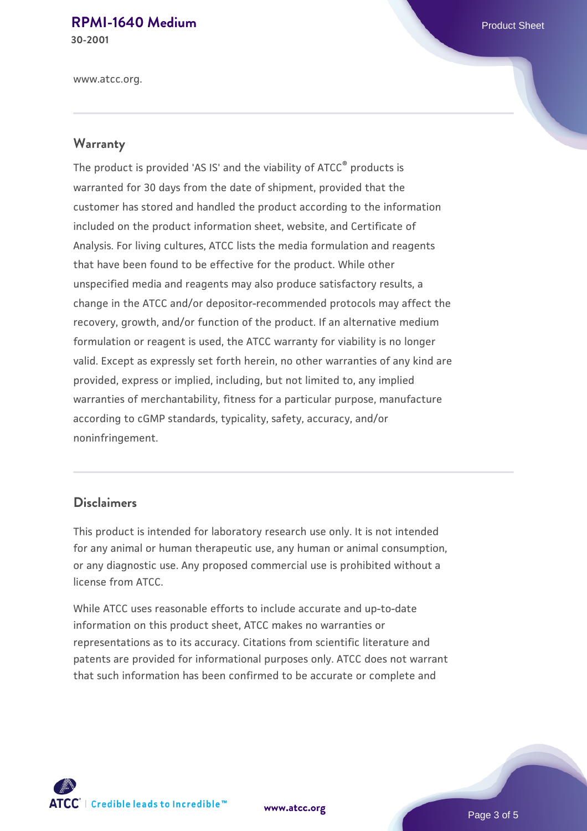# **[RPMI-1640 Medium](https://www.atcc.org/products/30-2001) Product Sheet**

**30-2001**

www.atcc.org.

#### **Warranty**

The product is provided 'AS IS' and the viability of ATCC® products is warranted for 30 days from the date of shipment, provided that the customer has stored and handled the product according to the information included on the product information sheet, website, and Certificate of Analysis. For living cultures, ATCC lists the media formulation and reagents that have been found to be effective for the product. While other unspecified media and reagents may also produce satisfactory results, a change in the ATCC and/or depositor-recommended protocols may affect the recovery, growth, and/or function of the product. If an alternative medium formulation or reagent is used, the ATCC warranty for viability is no longer valid. Except as expressly set forth herein, no other warranties of any kind are provided, express or implied, including, but not limited to, any implied warranties of merchantability, fitness for a particular purpose, manufacture according to cGMP standards, typicality, safety, accuracy, and/or noninfringement.

#### **Disclaimers**

This product is intended for laboratory research use only. It is not intended for any animal or human therapeutic use, any human or animal consumption, or any diagnostic use. Any proposed commercial use is prohibited without a license from ATCC.

While ATCC uses reasonable efforts to include accurate and up-to-date information on this product sheet, ATCC makes no warranties or representations as to its accuracy. Citations from scientific literature and patents are provided for informational purposes only. ATCC does not warrant that such information has been confirmed to be accurate or complete and



**[www.atcc.org](http://www.atcc.org)**

Page 3 of 5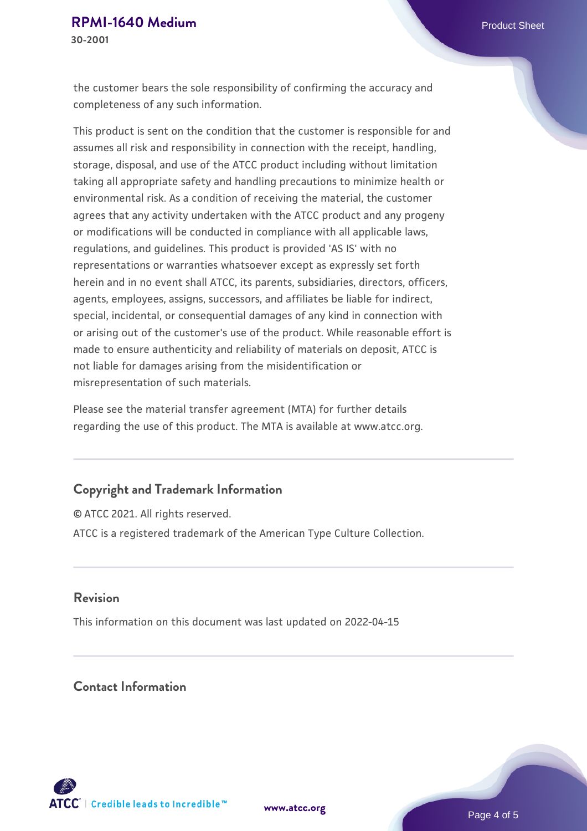the customer bears the sole responsibility of confirming the accuracy and completeness of any such information.

This product is sent on the condition that the customer is responsible for and assumes all risk and responsibility in connection with the receipt, handling, storage, disposal, and use of the ATCC product including without limitation taking all appropriate safety and handling precautions to minimize health or environmental risk. As a condition of receiving the material, the customer agrees that any activity undertaken with the ATCC product and any progeny or modifications will be conducted in compliance with all applicable laws, regulations, and guidelines. This product is provided 'AS IS' with no representations or warranties whatsoever except as expressly set forth herein and in no event shall ATCC, its parents, subsidiaries, directors, officers, agents, employees, assigns, successors, and affiliates be liable for indirect, special, incidental, or consequential damages of any kind in connection with or arising out of the customer's use of the product. While reasonable effort is made to ensure authenticity and reliability of materials on deposit, ATCC is not liable for damages arising from the misidentification or misrepresentation of such materials.

Please see the material transfer agreement (MTA) for further details regarding the use of this product. The MTA is available at www.atcc.org.

#### **Copyright and Trademark Information**

© ATCC 2021. All rights reserved. ATCC is a registered trademark of the American Type Culture Collection.

#### **Revision**

This information on this document was last updated on 2022-04-15

# **Contact Information**